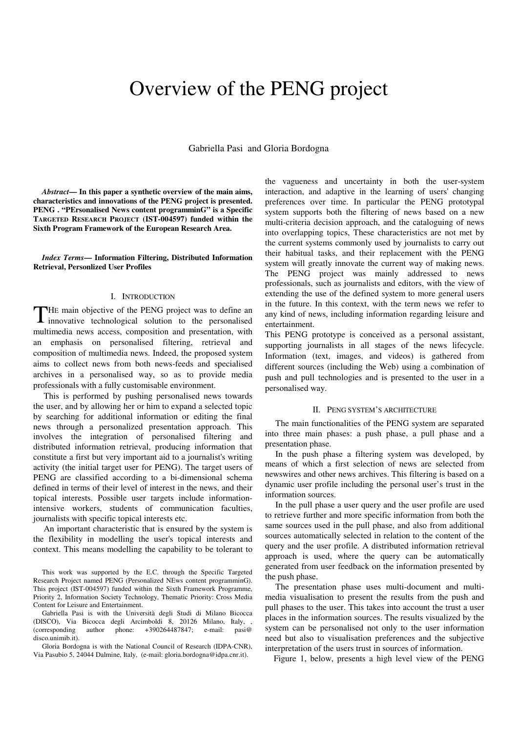## Overview of the PENG project

Gabriella Pasi and Gloria Bordogna

*Abstract***— In this paper a synthetic overview of the main aims, characteristics and innovations of the PENG project is presented. PENG . "PErsonalised News content programminG" is a Specific TARGETED RESEARCH PROJECT (IST-004597) funded within the Sixth Program Framework of the European Research Area.** 

*Index Terms***— Information Filtering, Distributed Information Retrieval, Personlized User Profiles**

## I. INTRODUCTION

THE main objective of the PENG project was to define an innovative technological solution to the personalised innovative technological solution to the personalised multimedia news access, composition and presentation, with an emphasis on personalised filtering, retrieval and composition of multimedia news. Indeed, the proposed system aims to collect news from both news-feeds and specialised archives in a personalised way, so as to provide media professionals with a fully customisable environment.

This is performed by pushing personalised news towards the user, and by allowing her or him to expand a selected topic by searching for additional information or editing the final news through a personalized presentation approach. This involves the integration of personalised filtering and distributed information retrieval, producing information that constitute a first but very important aid to a journalist's writing activity (the initial target user for PENG). The target users of PENG are classified according to a bi-dimensional schema defined in terms of their level of interest in the news, and their topical interests. Possible user targets include informationintensive workers, students of communication faculties, journalists with specific topical interests etc.

An important characteristic that is ensured by the system is the flexibility in modelling the user's topical interests and context. This means modelling the capability to be tolerant to

This work was supported by the E.C. through the Specific Targeted Research Project named PENG (Personalized NEws content programminG). This project (IST-004597) funded within the Sixth Framework Programme, Priority 2, Information Society Technology, Thematic Priority: Cross Media Content for Leisure and Entertainment.

Gabriella Pasi is with the Università degli Studi di Milano Bicocca (DISCO), Via Bicocca degli Arcimboldi 8, 20126 Milano, Italy, , (corresponding author phone: +390264487847; e-mail: pasi@ disco.unimib.it).

Gloria Bordogna is with the National Council of Research (IDPA-CNR), Via Pasubio 5, 24044 Dalmine, Italy, (e-mail: gloria.bordogna@idpa.cnr.it).

the vagueness and uncertainty in both the user-system interaction, and adaptive in the learning of users' changing preferences over time. In particular the PENG prototypal system supports both the filtering of news based on a new multi-criteria decision approach, and the cataloguing of news into overlapping topics, These characteristics are not met by the current systems commonly used by journalists to carry out their habitual tasks, and their replacement with the PENG system will greatly innovate the current way of making news. The PENG project was mainly addressed to news professionals, such as journalists and editors, with the view of extending the use of the defined system to more general users in the future. In this context, with the term news we refer to any kind of news, including information regarding leisure and entertainment.

This PENG prototype is conceived as a personal assistant, supporting journalists in all stages of the news lifecycle. Information (text, images, and videos) is gathered from different sources (including the Web) using a combination of push and pull technologies and is presented to the user in a personalised way.

## II. PENG SYSTEM'S ARCHITECTURE

The main functionalities of the PENG system are separated into three main phases: a push phase, a pull phase and a presentation phase.

In the push phase a filtering system was developed, by means of which a first selection of news are selected from newswires and other news archives. This filtering is based on a dynamic user profile including the personal user's trust in the information sources.

In the pull phase a user query and the user profile are used to retrieve further and more specific information from both the same sources used in the pull phase, and also from additional sources automatically selected in relation to the content of the query and the user profile. A distributed information retrieval approach is used, where the query can be automatically generated from user feedback on the information presented by the push phase.

The presentation phase uses multi-document and multimedia visualisation to present the results from the push and pull phases to the user. This takes into account the trust a user places in the information sources. The results visualized by the system can be personalised not only to the user information need but also to visualisation preferences and the subjective interpretation of the users trust in sources of information.

Figure 1, below, presents a high level view of the PENG